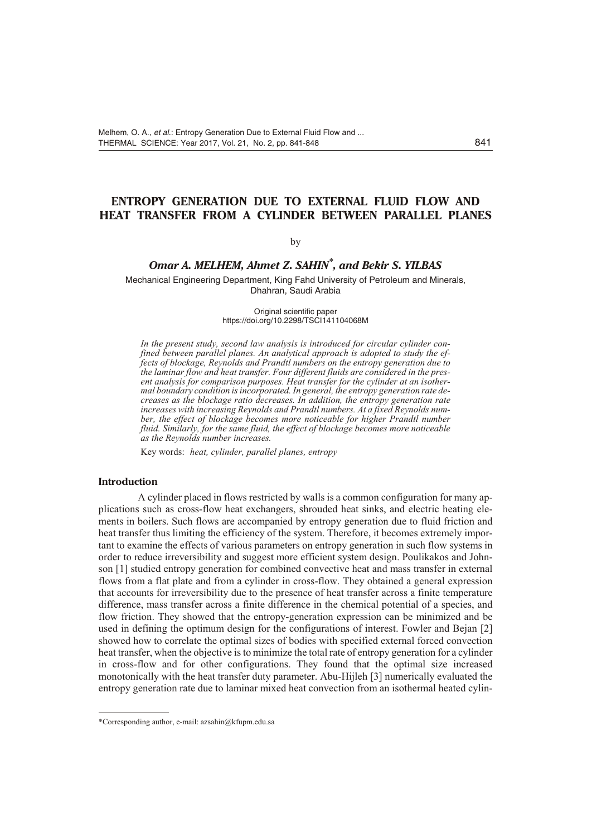# **ENTROPY GENERATION DUE TO EXTERNAL FLUID FLOW AND HEAT TRANSFER FROM A CYLINDER BETWEEN PARALLEL PLANES**

## by

# *Omar A. MELHEM, Ahmet Z. SAHIN\* , and Bekir S. YILBAS*

Mechanical Engineering Department, King Fahd University of Petroleum and Minerals, Dhahran, Saudi Arabia

> Original scientific paper https://doi.org/10.2298/TSCI141104068M

In the present study, second law analysis is introduced for circular cylinder confined between parallel planes. An analytical approach is adopted to study the ef*fects of block age, Reynolds and Prandtl num bers on the en tropy gen er a tion due to* the laminar flow and heat transfer. Four different fluids are considered in the present analysis for comparison purposes. Heat transfer for the cylinder at an isother*mal bound ary con di tion is in cor po rated. In gen eral, the en tropy gen er a tion rate de creases as the block age ra tio de creases. In ad di tion, the en tropy gen er a tion rate* increases with increasing Reynolds and Prandtl numbers. At a fixed Reynolds num*ber, the effect of blockage becomes more noticeable for higher Prandtl number* fluid. Similarly, for the same fluid, the effect of blockage becomes more noticeable *as the Reynolds number increases.* 

Key words: *heat, cylinder, parallel planes, entropy* 

#### **Introduction**

A cylinder placed in flows restricted by walls is a common configuration for many applications such as cross-flow heat exchangers, shrouded heat sinks, and electric heating elements in boilers. Such flows are accompanied by entropy generation due to fluid friction and heat transfer thus limiting the efficiency of the system. Therefore, it becomes extremely important to examine the effects of various parameters on entropy generation in such flow systems in order to reduce irreversibility and suggest more efficient system design. Poulikakos and Johnson [1] studied entropy generation for combined convective heat and mass transfer in external flows from a flat plate and from a cylinder in cross-flow. They obtained a general expression that accounts for irreversibility due to the presence of heat transfer across a finite temperature difference, mass transfer across a finite difference in the chemical potential of a species, and flow friction. They showed that the entropy-generation expression can be minimized and be used in defining the optimum design for the configurations of interest. Fowler and Bejan [2] showed how to correlate the optimal sizes of bodies with specified external forced convection heat transfer, when the objective is to minimize the total rate of entropy generation for a cylinder in cross-flow and for other configurations. They found that the optimal size increased monotonically with the heat transfer duty parameter. Abu-Hijleh [3] numerically evaluated the entropy generation rate due to laminar mixed heat convection from an isothermal heated cylin-

<sup>\*</sup>Corresponding author, e-mail: azsahin@kfupm.edu.sa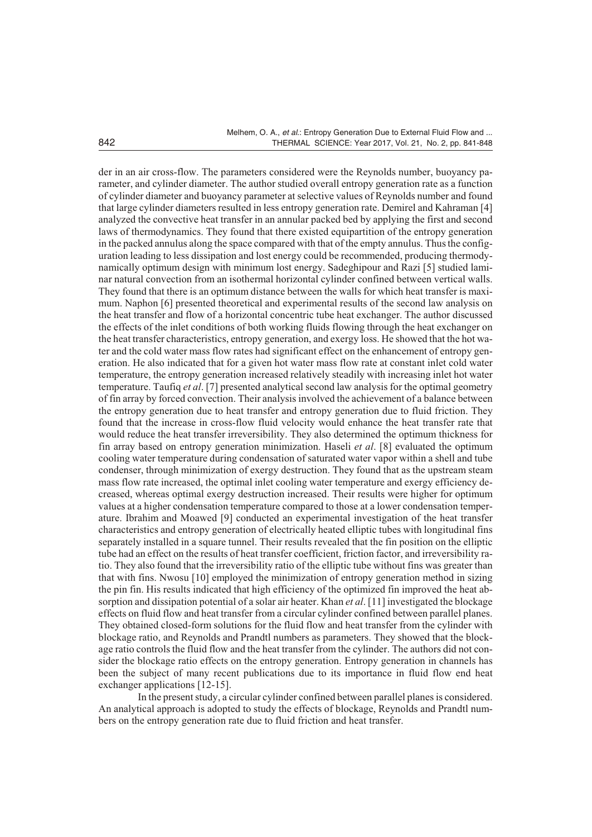der in an air cross-flow. The parameters considered were the Reynolds number, buoyancy parameter, and cylinder diameter. The author studied overall entropy generation rate as a function of cylinder diameter and buoyancy parameter at selective values of Reynolds number and found that large cylinder diameters resulted in less entropy generation rate. Demirel and Kahraman [4] analyzed the convective heat transfer in an annular packed bed by applying the first and second laws of thermodynamics. They found that there existed equipartition of the entropy generation in the packed annulus along the space compared with that of the empty annulus. Thus the configuration leading to less dissipation and lost energy could be recommended, producing thermodynamically optimum design with minimum lost energy. Sadeghipour and Razi [5] studied laminar natural convection from an isothermal horizontal cylinder confined between vertical walls. They found that there is an optimum distance between the walls for which heat transfer is maximum. Naphon [6] presented theoretical and experimental results of the second law analysis on the heat transfer and flow of a horizontal concentric tube heat exchanger. The author discussed the effects of the inlet conditions of both working fluids flowing through the heat exchanger on the heat transfer characteristics, entropy generation, and exergy loss. He showed that the hot water and the cold water mass flow rates had significant effect on the enhancement of entropy generation. He also indicated that for a given hot water mass flow rate at constant in let cold water temperature, the entropy generation increased relatively steadily with increasing inlet hot water tem per a ture. Taufiq *et al.* [7] presented analytical second law analysis for the optimal geometry of fin array by forced convection. Their analysis involved the achievement of a balance between the entropy generation due to heat transfer and entropy generation due to fluid friction. They found that the increase in cross-flow fluid velocity would enhance the heat transfer rate that would reduce the heat transfer irreversibility. They also determined the optimum thickness for fin array based on entropy generation minimization. Haseli *et al.* [8] evaluated the optimum cooling water temperature during condensation of saturated water vapor within a shell and tube condenser, through minimization of exergy destruction. They found that as the upstream steam mass flow rate increased, the optimal inlet cooling water temperature and exergy efficiency decreased, whereas optimal exergy destruction increased. Their results were higher for optimum values at a higher condensation temperature compared to those at a lower condensation temperature. Ibrahim and Moawed [9] conducted an experimental investigation of the heat transfer characteristics and entropy generation of electrically heated elliptic tubes with longitudinal fins separately installed in a square tunnel. Their results revealed that the fin position on the elliptic tube had an effect on the results of heat transfer coefficient, friction factor, and irreversibility ratio. They also found that the irreversibility ratio of the elliptic tube without fins was greater than that with fins. Nwosu [10] employed the minimization of entropy generation method in sizing the pin fin. His results indicated that high efficiency of the optimized fin improved the heat absorption and dissipation potential of a solar air heater. Khan *et al.* [11] investigated the blockage effects on fluid flow and heat transfer from a circular cylinder confined between parallel planes. They obtained closed-form solutions for the fluid flow and heat transfer from the cylinder with blockage ratio, and Reynolds and Prandtl numbers as parameters. They showed that the blockage ratio controls the fluid flow and the heat transfer from the cylinder. The authors did not consider the blockage ratio effects on the entropy generation. Entropy generation in channels has been the subject of many recent publications due to its importance in fluid flow end heat exchanger applications  $[12-15]$ .

In the present study, a circular cylinder confined between parallel planes is considered. An analytical approach is adopted to study the effects of blockage, Reynolds and Prandtl numbers on the entropy generation rate due to fluid friction and heat transfer.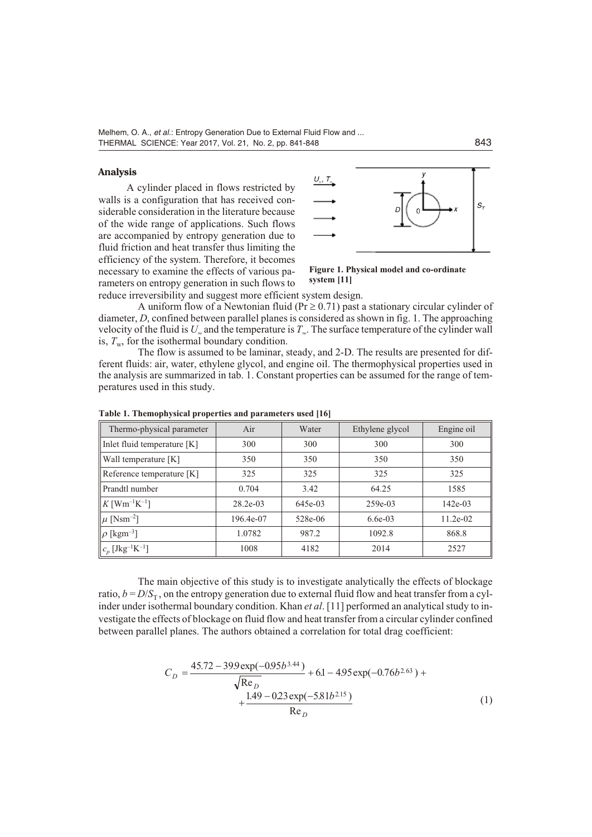## **Anal y sis**

A cylinder placed in flows restricted by walls is a configuration that has received considerable consideration in the literature because of the wide range of applications. Such flows are accompanied by entropy generation due to fluid friction and heat transfer thus limiting the efficiency of the system. Therefore, it becomes necessary to examine the effects of various parameters on entropy generation in such flows to



Figure 1. Physical model and co-ordinate **sys tem [11]**

reduce irreversibility and suggest more efficient system design.

A uniform flow of a Newtonian fluid (Pr  $0.71$ ) past a stationary circular cylinder of diameter, *D*, confined between parallel planes is considered as shown in fig. 1. The approaching velocity of the fluid is  $U_{\infty}$  and the temperature is  $T_{\infty}$ . The surface temperature of the cylinder wall is,  $T_w$ , for the isothermal boundary condition.

The flow is assumed to be laminar, steady, and 2-D. The results are presented for different fluids: air, water, ethylene glycol, and engine oil. The thermophysical properties used in the analysis are summarized in tab. 1. Constant properties can be assumed for the range of temperatures used in this study.

| Thermo-physical parameter               | Air        | Water   | Ethylene glycol | Engine oil |
|-----------------------------------------|------------|---------|-----------------|------------|
| Inlet fluid temperature [K]             | 300        | 300     | 300             | 300        |
| Wall temperature [K]                    | 350        | 350     | 350             | 350        |
| Reference temperature [K]               | 325        | 325     | 325             | 325        |
| Prandtl number                          | 0.704      | 3.42    | 64.25           | 1585       |
| $K$ [Wm <sup>-1</sup> K <sup>-1</sup> ] | $28.2e-03$ | 645e-03 | $259e-03$       | $142e-03$  |
| $\mu$ [Nsm <sup>-2</sup> ]              | 196.4e-07  | 528e-06 | $6.6e-03$       | $11.2e-02$ |
| $\ \rho\,[\rm{kgm^{-3}}]$               | 1.0782     | 987.2   | 1092.8          | 868.8      |
| $\mid\mid c_p \ [\rm Jkg^{-1}K^{-1}]$   | 1008       | 4182    | 2014            | 2527       |

Table 1. Themophysical properties and parameters used [16]

The main objective of this study is to investigate analytically the effects of blockage ratio,  $b = D/S<sub>T</sub>$ , on the entropy generation due to external fluid flow and heat transfer from a cylinder under isothermal boundary condition. Khan *et al.* [11] performed an analytical study to investigate the effects of blockage on fluid flow and heat transfer from a circular cylinder confined between parallel planes. The authors obtained a correlation for total drag coefficient:

$$
C_D \quad \frac{45.72 \quad 399 \exp(-0.095b^{3.44})}{\sqrt{\text{Re}_D}} \quad 6.1 \quad 4.95 \exp(-0.76b^{2.63})
$$
\n
$$
\frac{1.49 \quad 0.23 \exp(-5.81b^{2.15})}{\text{Re}_D} \tag{1}
$$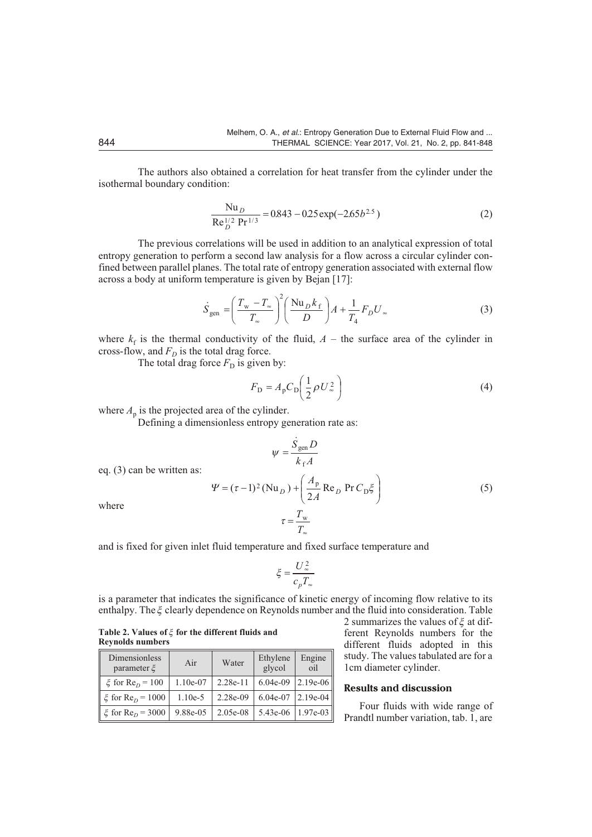The authors also obtained a correlation for heat transfer from the cylinder under the iso thermal boundary condition:

$$
\frac{\text{Nu}_D}{\text{Re}_D^{1/2} \text{Pr}^{1/3}} \quad 0.843 \quad 0.25 \exp(-2.65b^{2.5}) \tag{2}
$$

The previous correlations will be used in addition to an analytical expression of total entropy generation to perform a second law analysis for a flow across a circular cylinder confined between parallel planes. The total rate of entropy generation associated with external flow across a body at uniform temperature is given by Bejan [17]:

$$
\dot{S}_{gen} = \frac{T_{\rm w} T_{\rmfty}}{T_{\rmfty}}^2 \frac{\text{Nu}_D k_f}{D} A \frac{1}{T_4} F_D U_{\rmfty}
$$
 (3)

where  $k_f$  is the thermal conductivity of the fluid,  $A$  – the surface area of the cylinder in cross-flow, and  $F<sub>D</sub>$  is the total drag force.

The total drag force  $F<sub>D</sub>$  is given by:

$$
F_{\rm D} \quad A_{\rm p} C_{\rm D} \frac{1}{2} \rho U_{\infty}^2 \tag{4}
$$

where  $A<sub>p</sub>$  is the projected area of the cylinder.

Defining a dimensionless entropy generation rate as:

$$
\psi \quad \frac{\dot{S}_{\text{gen}}D}{k_{\text{f}}A}
$$

eq.  $(3)$  can be written as:

$$
\Psi \quad (\tau \quad 1)^2 (\text{Nu}_D) \quad \frac{A_p}{2A} \text{Re}_D \text{Pr} C_D \xi
$$
\n
$$
\tau \quad \frac{T_w}{T_w} \tag{5}
$$

where

and is fixed for given inlet fluid temperature and fixed surface temperature and

$$
\xi \frac{U_{\infty}^2}{c_p T_{\infty}}
$$

is a parameter that indicates the significance of kinetic energy of incoming flow relative to its enthalpy. The  $\xi$  clearly dependence on Reynolds number and the fluid into consideration. Table

Table 2. Values of  $\xi$  for the different fluids and **Reynolds num bers**

| Dimensionless<br>parameter $\xi$ | Air       | Water      | Ethylene<br>glycol | Engine<br>oil |
|----------------------------------|-----------|------------|--------------------|---------------|
| $\xi$ for Re <sub>0</sub> = 100  | 1.10e-07  | $2.28e-11$ | $6.04e-09$         | $2.19e-06$    |
| $\xi$ for Re <sub>D</sub> = 1000 | $1.10e-5$ | 2.28e-09   | 6.04e-07           | $ 2.19e-04 $  |
| $\xi$ for Re <sub>n</sub> = 3000 | 9.88e-05  | 2.05e-08   | 5.43e-06           | $1.97e-03$    |

2 summarizes the values of  $\xi$  at different Reynolds numbers for the different fluids adopted in this study. The values tabulated are for a 1cm diameter cylinder.

#### **Re sults and dis cus sion**

Four fluids with wide range of Prandtl number variation, tab. 1, are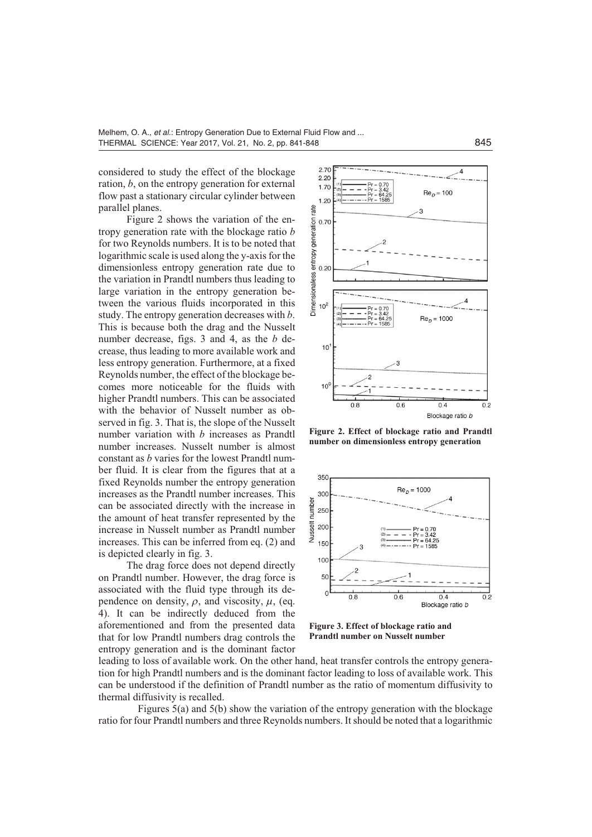considered to study the effect of the blockage ration, *b*, on the entropy generation for external flow past a stationary circular cylinder between parallel planes.

Figure 2 shows the variation of the entropy generation rate with the blockage ratio *b* for two Reynolds numbers. It is to be noted that logarith mic scale is used along the y-axis for the dimensionless entropy generation rate due to the variation in Prandtl numbers thus leading to large variation in the entropy generation between the various fluids incorporated in this study. The entropy generation decreases with *b*. This is because both the drag and the Nusselt number decrease, figs. 3 and 4, as the *b* decrease, thus leading to more available work and less entropy generation. Furthermore, at a fixed Reynolds number, the effect of the blockage becomes more noticeable for the fluids with higher Prandtl numbers. This can be associated with the behavior of Nusselt number as observed in fig. 3. That is, the slope of the Nusselt number variation with  $b$  increases as Prandtl number increases. Nusselt number is almost constant as *b* varies for the lowest Prandtl number fluid. It is clear from the figures that at a fixed Reynolds number the entropy generation increases as the Prandtl number increases. This can be associated directly with the increase in the amount of heat transfer represented by the increase in Nusselt number as Prandtl number increases. This can be inferred from eq.  $(2)$  and is depicted clearly in fig. 3.

The drag force does not depend directly on Prandtl number. However, the drag force is associated with the fluid type through its dependence on density,  $\rho$ , and viscosity,  $\mu$ , (eq. 4). It can be indirectly deduced from the aforementioned and from the presented data that for low Prandtl numbers drag controls the entropy generation and is the dominant factor



Figure 2. Effect of blockage ratio and Prandtl **number** on dimensionless entropy generation



Figure 3. Effect of blockage ratio and **Prandtl number on Nusselt number** 

leading to loss of available work. On the other hand, heat transfer controls the entropy generation for high Prandtl numbers and is the dominant factor leading to loss of available work. This can be understood if the definition of Prandtl number as the ratio of momentum diffusivity to thermal diffusivity is recalled.

Figures  $5(a)$  and  $5(b)$  show the variation of the entropy generation with the blockage ratio for four Prandtl numbers and three Reynolds numbers. It should be noted that a logarithmic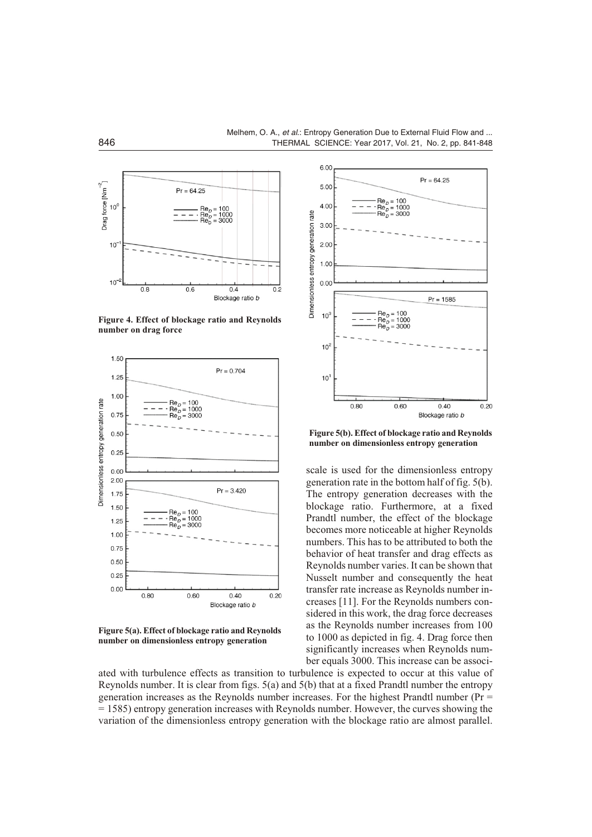

Figure 4. Effect of blockage ratio and Reynolds **num ber on drag force**



Figure 5(a). Effect of blockage ratio and Reynolds **number** on dimensionless entropy generation



Figure 5(b). Effect of blockage ratio and Reynolds **number** on dimensionless entropy generation

scale is used for the dimensionless entropy generation rate in the bottom half of fig. 5(b). The entropy generation decreases with the blockage ratio. Furthermore, at a fixed Prandtl number, the effect of the blockage becomes more noticeable at higher Reynolds numbers. This has to be attributed to both the behavior of heat transfer and drag effects as Reynolds number varies. It can be shown that Nusselt number and consequently the heat trans fer rate in crease as Reynolds number in creases [11]. For the Reynolds numbers considered in this work, the drag force decreases as the Reynolds number increases from 100 to 1000 as depicted in fig. 4. Drag force then significantly increases when Reynolds number equals 3000. This increase can be associ-

ated with turbulence effects as transition to turbulence is expected to occur at this value of Reynolds number. It is clear from figs.  $5(a)$  and  $5(b)$  that at a fixed Prandtl number the entropy generation increases as the Reynolds number increases. For the highest Prandtl number ( $Pr =$  $=1585$ ) entropy generation increases with Reynolds number. However, the curves showing the variation of the dimensionless entropy generation with the blockage ratio are almost parallel.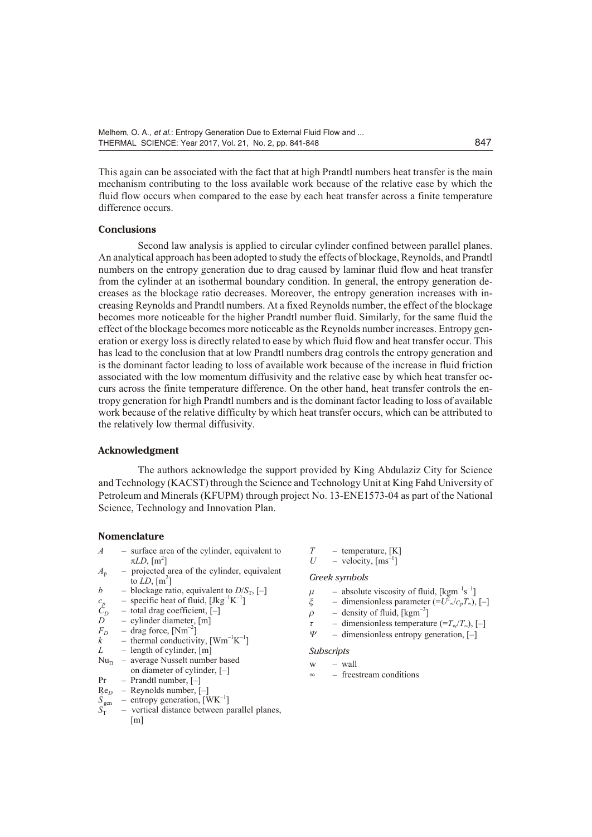This again can be associated with the fact that at high Prandtl numbers heat transfer is the main mechanism contributing to the loss available work because of the relative ease by which the fluid flow occurs when compared to the ease by each heat transfer across a finite temperature difference occurs.

#### **Con clu sions**

Second law analysis is applied to circular cylinder confined between parallel planes. An analytical approach has been adopted to study the effects of blockage, Reynolds, and Prandtl numbers on the entropy generation due to drag caused by laminar fluid flow and heat transfer from the cylinder at an iso thermal boundary condition. In general, the entropy generation decreases as the blockage ratio decreases. Moreover, the entropy generation increases with increasing Reynolds and Prandtl numbers. At a fixed Reynolds number, the effect of the blockage becomes more noticeable for the higher Prandtl number fluid. Similarly, for the same fluid the effect of the blockage becomes more noticeable as the Reynolds number increases. Entropy generation or exergy loss is directly related to ease by which fluid flow and heat transfer occur. This has lead to the conclusion that at low Prandtl numbers drag controls the entropy generation and is the dominant factor leading to loss of available work because of the increase in fluid friction associated with the low momentum diffusivity and the relative ease by which heat transfer occurs across the finite temperature difference. On the other hand, heat transfer controls the entropy generation for high Prandtl numbers and is the dominant factor leading to loss of available work because of the relative difficulty by which heat transfer occurs, which can be attributed to the relatively low thermal diffusivity.

## **Ac knowl edg ment**

The authors acknowledge the support provided by King Abdulaziz City for Science and Technology (KACST) through the Science and Technology Unit at King Fahd University of Petroleum and Minerals (KFUPM) through project No. 13-ENE1573-04 as part of the National Science, Technology and Innovation Plan.

#### **No men cla ture**

- $A$  surface area of the cylinder, equivalent to  $LD, [m^2]$
- $A_p$  projected area of the cylinder, equivalent to  $LD$ ,  $[m^2]$
- *b* blockage ratio, equivalent to *D*/*S*<sub>T</sub>, [–]<br>  $c_p$  specific heat of fluid, [Jkg<sup>-1</sup>K<sup>-1</sup>]<br>  $C_D$  total drag coefficient, [–]
- $c_p$  specific heat of fluid, [Jkg<sup>-1</sup>K<sup>-1</sup>]
- $\hat{C}_D$  total drag coefficient, [–]<br>*D* cylinder diameter. [m]
- cylinder diameter, [m]
- $F_D$  drag force, [Nm<sup>-2</sup>]<br>*k* thermal conductivi  $k^{\sim}$  – thermal conductivity, [Wm<sup>-1</sup>K<sup>-1</sup>]
- *L* length of cylinder, [m]
- $Nu<sub>D</sub>$  average Nusselt number based on diameter of cylinder,  $[-]$
- $Pr$  Prandtl number,  $[-]$
- $Re<sub>D</sub>$  Reynolds number,  $\left[-\right]$
- $S_{\text{gen}}$  $S_{\text{gen}}$  – entropy generation,  $\text{[WK}^{-1}\text{]}$ <br> $S_{\text{T}}$  – vertical distance between p
- vertical distance between parallel planes,  $\lceil m \rceil$
- $T =$  temperature, [K]<br> $U =$  velocity,  $\text{Im}^{-1}$ ]
- $-$  velocity,  $\lceil \text{ms}^{-1} \rceil$

#### *Greek sym bols*

- $\mu$  absolute viscosity of fluid, [kgm<sup>-1</sup>s<sup>-1</sup>]
- $\zeta$  dimensionless parameter  $(=U^2 \sqrt{c_p T_{\infty}})$ , [-]
- $\rho$  density of fluid, [kgm<sup>-3</sup>]
- 
- $\tau$  dimensionless temperature (= $T_w/T_w$ ), [-]<br> $\Psi$  dimensionless entropy generation. [-] – dimensionless entropy generation, [–]

#### *Sub scripts*

- w wall
- $\infty$  freestream conditions